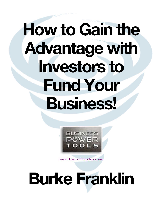# **How to Gain the Advantage with Investors to Fund Your Business!**



www.BusinessPowerTools.com

# **Burke Franklin**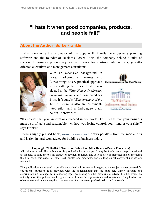# **"I hate it when good companies, products, and people fail!"**

## **About the Author: Burke Franklin**

Burke Franklin is the originator of the popular BizPlanBuilder® business planning software and the founder of Business Power Tools, the company behind a suite of successful business productivity software tools for start-up entrepreneurs, growthoriented executives and management consultants.



With an extensive background in sales, marketing and management, Burke brings a very practical approach **ENTREPRENEUR OF THE YEAR** to everything he does. Burke was elected to the *White House Conference on Small Business* and nominated for Ernst & Young's *"Entrepreneur of the Year.*" Burke is also an instrument- Conference on Small Business rated pilot, and a 2nd-degree black belt in TaeKwonDo.



"It's crucial that your innovations succeed in our world. This means that your business must be profitable and sustainable – without you losing control, your mind or your shirt!" says Franklin.

Burke's highly praised book, *Business Black Belt* draws parallels from the martial arts and is rich in hard-won advice for building a business today.

#### **Copyright 2016 JIAN Tools For Sales, Inc. (dba BusinessPowerTools.com)**

All rights reserved. This publication is provided without charge. It may be freely stored, reproduced and distributed, so long there is no charge or payment required, and so long as it is presented intact, including the title page, this page, all other text, quotes and diagrams, and so long as all copyright notices are included.

This publication is designed to provide authoritative information in regard to the subject matter covered for educational purposes. It is provided with the understanding that the publisher, author, advisors and contributors are not engaged in rendering legal, accounting or other professional advice. In other words, do not rely upon this publication for guidance with specific organizations and situations. If legal advice or other expert assistance is required, the services of a competent professional should be sought.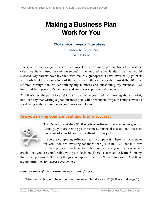# **Making a Business Plan Work for You**

That's what freedom is all about... a chance to be better. - Albert Camus

I've gone to many angel investor meetings. I've given many presentations to investors. (Yes, we have raised money ourselves!) I've assured SBA lenders that we would succeed. My parents have invested with me. My grandparents have invested. (I go back and forth thinking about which of the above were the easiest or the most difficult!) I've suffered through bankers scrutinizing my numbers and questioning my business. I've hired and fired people. I've interviewed countless suppliers and contractors.

And that's just the past 25 years! Ok, this can make you tired just thinking about all of it, but I can say that writing a good business plan will do wonders for your sanity as well as for dealing with everyone who you think can help you.

# Are you risking your concept and future success?



There's more to it than \$100 worth of software that may seem generic. Actually, you are betting your business, financial success and the next few years of your life on the results of this project.

If you are comparing software, really compare it. There's a lot at stake for you. You are investing far more than just \$100 - \$1,000 in a few software programs — these form the foundation of your business, so it's

crucial that you are comfortable with your decision. There is so much to learn. So many things can go wrong. So many things can happen (many you'll want to avoid). And there are opportunities for success everywhere.

#### Here are some of the question we will answer for you:

• What can writing and having a good business plan do for me? (Is It worth doing?!?)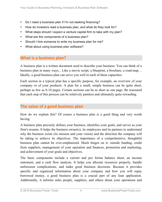- Do I need a business plan if I'm not seeking financing?
- How do investors read a business plan, and what do they look for?
- What steps should I expect a venture capital firm to take with my plan?
- What are the components of a business plan?
- Should I hire someone to write my business plan for me?
- What about using business plan software?

# **What is a business plan?**

A business plan is a written document used to describe your business. You can think of a business plan in many ways... Like a movie script, a blueprint, a brochure, a road-map… Ideally, a good business plan can serve you well in each of these capacities.

Each section in a typical plan has a specific purpose, for example, an overview of your company or of your products. A plan for a small, simple business can be quite short, perhaps as few as 8-10 pages. Certain sections can be as short as one page. Be reassured that each step of this process can be relatively painless and ultimately quite rewarding.

# The value of a good business plan

How do we explain this? Of course a business plan is a good thing and very worth having.

A business plan precisely defines your business, identifies your goals, and serves as your firm's resume. It helps the business owner(s), its employees and its partners to understand why the business exists (its mission and your vision) and the direction the company will be taking to achieve its objectives. The importance of a comprehensive, thoughtful business plan cannot be over-emphasized. Much hinges on it: outside funding, credit from suppliers, management of your operation and finances, promotion and marketing, and achievement of your goals and objectives.

The basic components include a current and pro forma balance sheet, an income statement, and a cash flow analysis. It helps you allocate resources properly, handle unforeseen complications, and make good business decisions. Because it provides specific and organized information about your company and how you will repay borrowed money, a good business plan is a crucial part of any loan application. Additionally, it informs sales people, suppliers, and others about your operations and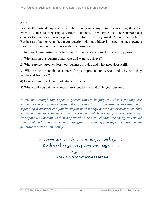goals.

Despite the critical importance of a business plan, many entrepreneurs drag their feet when it comes to preparing a written document. They argue that their marketplace changes too fast for a business plan to be useful or that they just don't have enough time. But just as a builder won't begin construction without a blueprint, eager business owners shouldn't rush into new ventures without a business plan.

Before you begin writing your business plan, we always consider five core questions:

1) Why am I in this business and what do I want to achieve?

2) What service / product does your business provide and what need does it fill?

3) Who are the potential customers for your product or service and why will they purchase it from you?

4) How will you reach your potential customers?

5) Where will you get the financial resources to start and build your business?

 $\triangleright$  NOTE: Although this paper is geared toward helping you obtain funding, ask *yourself if you really need investors. It's a fair question. just because you are starting or* expanding a business and you know you need money, doesn't necessarily mean that you need an investor. Investors want a return on their investment, and they sometimes *want partial ownership. Is their help worth it? Can you channel the energy you would spend seeking funding into new selling efforts or reducing your expenses until you can generate the expansion money?* 

# Whatever you can do or dream, you can begin it. Boldness has genius, power and magic in it. Begin it now.

*~ Goethe (1749-1832), German poet and dramatist*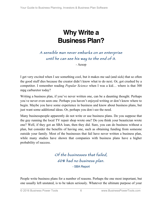# **Why Write a Business Plan?**

A sensible man never embarks on an enterprise until he can see his way to the end of it.

- Aesop

I get very excited when I see something cool, but it makes me sad (and sick) that so often the good stuff dies because the creator didn't know what to do next. Or, got crushed by a competitor. I remember reading *Popular Science* when I was a kid… where is that 300 mpg carburetor today?

Writing a business plan, if you've never written one, can be a daunting thought. Perhaps you ' ve never even seen one. Perhaps you haven't enjoyed writing or don't know where to begin. Maybe you have some experience in business and know about business plans, but just want some additional ideas. Or, perhaps you don<sup>'</sup>t see the need.

Many businesspeople apparently do not write or use business plans. Do you suppose that the guy running the local TV repair shop wrote one? Do you think your beautician wrote one? Well, if they got an SBA loan, then they did. Sure, you can do business without a plan, but consider the benefits of having one, such as obtaining funding from someone outside your family. Most of the businesses that fail have never written a business plan, while many studies have shown that companies with business plans have a higher probability of success.

# Of the businesses that failed, 60% had no business plan. - SBA Report

People write business plans for a number of reasons. Perhaps the one most important, but one usually left unstated, is to be taken seriously. Whatever the ultimate purpose of your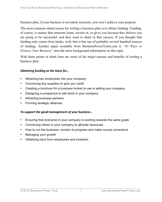business plan, if your business is not taken seriously, you won' t achieve your purpose.

The most common stated reason for writing a business plan is to obtain funding. Funding, of course, is money that someone loans, invests in, or gives you because they believe you are going to be successful, and they want to share in that success. If you thought that funding only comes from banks, well, that is but one of probably several hundred sources of funding. Another paper available from BusinessPowerTools.com is *"65 Ways to Finance Your Business"* provide more background information on this topic.

With these points in mind, here are some of the major reasons and benefits of writing a business plan:

#### **Obtaining funding as the basis for...**

- Attracting key employees into your company
- Convincing key suppliers to give you credit
- Creating a brochure for a business broker to use in selling your company
- Designing a prospectus to sell stock in your company
- Attracting business partners
- Forming strategic alliances

#### To support the good management of your business...

- Ensuring that everyone in your company is working towards the same goals
- Convincing others in your company to allocate resources
- How to run the business, monitor its progress and make course corrections
- Managing your growth
- Obtaining input from employees and investors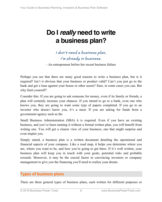# **Do I really need to write a business plan?**

# I don't need a business plan, I'm already in business.

- An entrepreneur before her recent business failure

Perhaps you see that there are many good reasons to write a business plan, but is it required? Isn't it obvious that your business or product valid? Can't you just go to the bank and get a loan against your house or other assets? Sure, in some cases you can. But why limit yourself?

Consider this: If you are going to ask someone for money, even if its family or friends, a plan will certainly increase your chances. If you intend to go to a bank, even one who knows you, they are going to want some type of papers completed. If you go to an investor who doesn' t know you, it's a must. If you are asking for funds from a government agency such as the

Small Business Administration (SBA) it is required. Even if you have an existing business, and you've been running it without a formal written plan, you will benefit from writing one. You will get a clearer view of your business; one that might surprise and even inspire you.

Simply stated, a business plan is a written document detailing the operational and financial aspects of your company. Like a road map, it helps you determine where you are, where you want to be, and how you're going to get there. If it's well written, your business plan will keep you in touch with your goals, potential risks and probable rewards. Moreover, it may be the crucial factor in convincing investors or company management to give you the financing you' ll need to realize your dream.

# **Types of business plans**

There are three general types of business plans, each written for different purposes or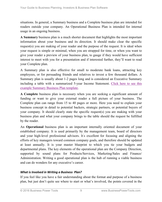situations. In general, a Summary business and a Complete business plan are intended for readers outside your company. An Operational Business Plan is intended for internal usage in an ongoing business.

**A Summary** business plan is a much shorter document that highlights the most important information about your business and its direction. It should make clear the specific request(s) you are making of your reader and the purpose of the request. It is ideal when your request is simple or minimal, when you are strapped for time, or when you want to give your reader a preview of your business plan, to gauge if they would have sufficient interest to meet with you for a presentation and if interested further, they'll want to read your Complete plan.

A Summary plan is also effective for small to moderate bank loans, attracting key employees, or for persuading friends and relatives to invest a few thousand dollars. A Summary plan is usually about 1-2 pages long and is considered an Executive Summary including a table with a summarized 5-year Income Statement. Click here to see this example Summary Business Plan template.

**A Complete** business plan is necessary when you are seeking a significant amount of funding or want to give your external reader a full picture of your business. The Complete plan can range from 15 to 40 pages or more. Here you need to explain your business concept in detail to potential backers, strategic partners, or potential buyers of your company. It should clearly state the specific request(s) you are making with your business plan and what your company brings to the table should the request be fulfilled by the reader.

An **Operational** business plan is an important internally oriented document of your established company. It is used primarily by the management team, board of directors and your high-level professional advisors. It's excellent for focusing and aligning the efforts of key managers toward common company goals, and therefore should be updated at least annually. It is your master blueprint to which you tie your budgets and departmental plans. The key elements of the operational plan are the Company Direction, supported by sound plans for Products/Services, Marketing/Sales and Finance/ Administration. Writing a good operational plan is the hub of running a viable business and can do wonders for any executive's career.

#### *What is Involved in Writing a Business Plan?*

If you feel like you have a fair understanding about the format and purpose of a business plan, but just don't quite see where to start or what's involved, the points covered in the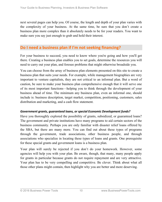next several pages can help you. Of course, the length and depth of your plan varies with the complexity of your business. At the same time, be sure that you don't create a business plan more complex than it absolutely needs to be for your readers. You want to make sure you say just enough to grab and hold their interest.

# Do I need a business plan if I'm not seeking financing?

For your business to succeed, you need to know where you're going and how you'll get there. Creating a business plan enables you to set goals, determine the resources you will need to carry out your plan, and foresee problems that might otherwise broadside you.

You can choose from the array of business plan elements presented on this site to create a business plan that suits your needs. For example, while management biographies are very important to venture capitalists, they are not critical to an informal plan. But a word of caution, be sure to make your business plan comprehensive enough that it will serve one of its most important functions—helping you to think through the development of your business ahead of time. The minimum any business plan, even an informal one, should include is: business description, target market, competition, positioning, customers, sales distribution and marketing, and a cash flow statement.

#### Government grants, guaranteed loans, or special Economic Development funds?

Have you thoroughly explored the possibility of grants, subsidized, or guaranteed loans? The government and private institutions have many programs to aid certain sectors of the business community. Perhaps you are only familiar with disaster relief loans offered by the SBA, but there are many more. You can find out about these types of programs through the government, trade associations, other business people, and through associations who specialize in locating these types of loans and grants. One prerequisite for these special grants and government loans is a business plan.

Your plan will surely be rejected if you don't do your homework. However, some agencies will help you with your plan. Be aware, though, that many, many people apply for grants in particular because grants do not require repayment and are very attractive. Your plan has to be very compelling and competitive. Be clever. Think about what all those other plans might contain, then highlight why you are better and more deserving.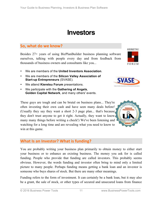# **Investors**

#### **So, what do we know?**

Besides 27+ years of using BizPlanBuilder business planning software ourselves, talking with people every day and from feedback from thousands of business owners and consultants like you...

- We are members of the **United Inventors Association**.
- We are members of the **Silicon Valley Association of Start-up Entrepreneurs** (SVASE).
- We attend **Kieretsu Forum** presentations.
- We participate with the **Gathering of Angels**, **Golden Capital Network**, and many others' events.

These guys are tough and can be brutal on business plans... They're often investing their own cash and have seen many deals before! (Usually they say they want a short 2-3 page plan... that's because they don't trust anyone to get it right. Actually, they want to know many many things before writing a check!) We've been listening and watching for a long time and are revealing what you need to know to win at this game.

# **What Is an Investor? What is funding?**

You are probably writing your business plan primarily to obtain money to either start your business or to enhance an existing business. The money you ask for is called funding. People who provide that funding are called investors. This probably seems obvious. However, the words funding and investor often bring to mind only a limited picture to many people. Perhaps funding means getting a bank loan and an investor is someone who buys shares of stock. But there are many other meanings.

Funding refers to the form of investment. It can certainly be a bank loan, but it may also be a grant, the sale of stock, or other types of secured and unsecured loans from finance



**KEIRETSU** 

FORUM

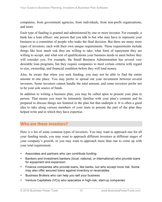companies, from government agencies, from individuals, from non-profit organizations, and more.

Each type of funding is granted and administered by one or more investor. For example, a bank has a loan officer: one person that you talk to but who may have to represent your business to a committee of people who make the final decision. But there are many more types of investors, each with their own unique requirements. These requirements include things like how much risk they are willing to take, what form of repayment they are willing to accept, and what sort of qualifications your business needs to meet before they will consider you. For example, the Small Business Administration has several very desirable loan programs, but they require companies to meet certain criteria with regard to size, ownership, and financial condition before they will lend money.

Also, be aware that when you seek funding, you may not be able to find the entire amount in one place. You may prefer to spread out your investment between several investors. Some investors cannot handle the total amount, and some investors prefer not to be your sole source of funds.

In addition to writing a business plan, you may be called upon to present your plan in person. That means you must be intimately familiar with your plan's contents and be prepared to discuss things not featured in the plan but that underpin it. It is often a good idea to take along various members of your team to present the part of the plan they helped write and in which they have expertise.

#### **Who are these investors?**

Here is a list of some common types of investors. You may want to approach one for all your funding needs, you may want to approach different investors at different stages of your company's growth, or you may want to approach more than one to come up with your total requirement.

- Associates and partners who can contribute funding
- Bankers and investment bankers (local, national, or international) who provide loans for equipment and expansion.
- Finance companies who provide loans, like banks, but who accept more risk. Some may also offer secured loans against inventory or receivables.
- Business Brokers who can help you sell your business
- Venture Capitalists (VCs) who specialize in high-risk, start-up companies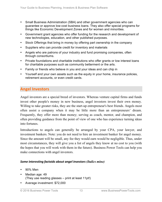- Small Business Administration (SBA) and other government agencies who can guarantee or approve low-cost business loans. They also offer special programs for things like Economic Development Zones and for women and minorities.
- Government grant agencies who offer funding for the research and development of new technologies, education, and other published purposes.
- Stock Offerings that bring in money by offering part ownership in the company
- Suppliers who can provide credit for inventory and materials
- Angels who are patrons of your industry and fund promising companies, often through consortiums.
- Private foundations and charitable institutions who offer grants or low interest loans for charitable purposes such as community betterment or the arts.
- Family or friends who believe in you and your ideas and can chip in
- Yourself and your own assets such as the equity in your home, insurance policies, retirement accounts, or even credit cards.

## **Angel Investors**

Angel investors are a special breed of investors. Whereas venture capital firms and funds invest other people's money in new business, angel investors invest their own money. Willing to take greater risks, they are the start-up entrepreneur's best friends. Angels most often assist a company when it may be little more than an entrepreneurs' dream. Frequently, they offer more than money; serving as coach, mentor, and champion, and often providing guidance from the point of view of one who has experience turning ideas into fortunes.

Introductions to angels can generally be arranged by your CPA, your lawyer, and investment bankers. Note: you do not need to hire an investment banker for angel money. Since the amount will be small, any fee they would earn would be negligible. Thus, under most circumstances, they will give you a list of angels they know at no cost to you (with the hopes that you will work with them in the future). Business Power Tools can help you make connections with angel investors.

#### **Some interesting factoids about angel investors (Italics mine)**

- 90% Men
- Median age: 49 (They use reading glasses – print at least 11pt!)
- Average investment: \$72,000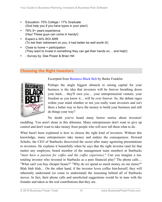- Education: 75% College / 17% Graduate (God help you if you have typos in your plan!)
- 78% 5+ years experience (Hey! These guys can come in handy!)
- Expect a 34% ROI ARR (To bet their retirement on you, it had better be well worth it!)
- Close to home + participation (They want to invest in something they can get their hands on… and help!)
- - Survey by: Dee Power & Brian Hill

# **Choosing the Right Investors**



Excerpted from Business Black Belt by Burke Franklin

Perhaps the single biggest obstacle to raising capital for your business is the idea that investors will be forever breathing down your back… they'll own you… your entrepreneurial venture, your freedom as you know it… will be over forever. So, the debate rages within your mind whether or not you really want investors and isn't there a better way to have the money to build your business and still do things your way?

No doubt you've heard many horror stories about investors' meddling. You aren't alone in this dilemma. Many entrepreneurs don't want to give up control and don't want to take money from people who will now tell them what to do.

What hasn't been explained is how to choose the right kind of investors. Without this knowledge, many entrepreneurs take money and endure the consequences. Howard Schultz, the CEO of Starbucks discovered the secret after many agonizing presentations to investors. He explains it beautifully when he says that the right investor (and for that matter any employee, board member of the management team member) at Starbucks "*must have a passion for coffee and the coffee experience.*" Can you imagine a teatotaling investor who invested in Starbucks as a pure financial play? The phone calls… "What can't you buy cheaper beans?" "Why do we spend so much money on our stores?" Blah blah blah… On the other hand, if the investor loves coffee him/herself, they will inherently understand (or come to understand) the reasoning behind all of Starbucks moves. In fact, their phone calls and unsolicited suggestions would be in tune with the founder and taken as the real contributions that they are.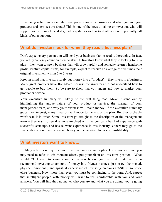How can you find investors who have passion for your business and what you and your products and services are about? This is one of the keys to taking on investors who will support you with much needed growth capital, as well as (and often more importantly) all kinds of other support.

# **What do investors look for when they read a business plan?**

Don't expect every person you will send your business plan to read it thoroughly. In fact, you really can only count on them to skim it. Investors know what they're looking for in a plan – they want to see a business that will grow rapidly and someday return a handsome profit. Venture capital firms, for example, expect to receive an average of five times their original investment within 5 to 7 years.

Keep in mind that investors rarely put money into a "product" – they invest in a business. Many great products have floundered because the inventors did not understand how to get people to buy them. So be sure to show that you understand how to market your product or service.

Your executive summary will likely be the first thing read. Make it stand out by highlighting the unique nature of your product or service, the strength of your management team, and why your business will make money. If the executive summary grabs their interest, many investors will move to the rest of the plan. But they probably won't read it in order. Some investors go straight to the description of the management team – they want to see if anyone involved with the company has had experience with successful start-ups, and has relevant experience in this industry. Others may go to the financials section to see when and how you plan to attain long-term profitability.

#### **What investors want to know...**

Building a business requires more than just an idea and a plan. For a moment (and you may need to refer to this moment often), put yourself in an investor's position... What would YOU want to know about a business before you invested in it? We often recommend investing an amount of money in a friend's business just to get the mental, physical, emotional, and spiritual experience of investing precious CASH in someone else's business. Now, more than ever, you must be convincing to the bone. And, expect that intelligent people with money will want to feel comfortable with you and your answers. You will find that, no matter who you are and what you are doing, you're going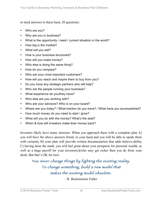to need answers to these basic 20 questions:

- Who are you?
- Why are you in business?
- What is the opportunity / need / current situation in the world?
- How big is the market?
- What will you sell?
- How is your business structured?
- How will you make money?
- Who else is doing the same thing?
- How do you compare?
- Who are your most important customers?
- How will you reach and inspire them to buy from you?
- Do you have any strategic partners who will help?
- Who are the people running your business?
- What experience do you/they have?
- Who else are you working with?
- Who are your advisors? Who is on your board?
- Where are you today? / What traction do you have? / What have you accomplished?
- How much money do you need to start / grow?
- What will you do with the money? What's the deal?
- When & how will investors make their money back?

Investors likely have many interests. When you approach them with a complete plan A) you will have the above answers firmly in your head and you will be able to speak them with certainty B) your plan will provide written documentation that adds believe-ability C) having done the math, you will feel great about your prospects for personal wealth, as well as a huge payoff for your investor(s)(who may get richer then you do from your deal). But that's OK for now.

You never change things by fighting the existing reality. To change something, build a new model that makes the existing model obsolete.

- R. Buckminster Fuller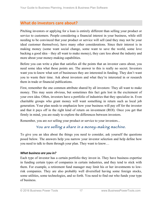# **What do investors care about?**

Pitching investors or applying for a loan is entirely different than selling your product or service to customers. People considering a financial interest in your business, while still needing to be convinced that your product or service will sell (and they may not be your ideal customer themselves), have many other considerations. Since their interest is in making money (some want social change, some want to save the world, some love backing a good idea – they all want to make money), they care less about the industry and more about your money-making capabilities.

Before you can write a plan that satisfies all the points that an investor cares about, you need some idea what those points are. The answer to this is really no secret. Investors want you to know what sort of businesses they are interested in funding. They don't want you to waste their time. Ask about investors and what they're interested in or research them in trade or financial publications.

First, remember the one common attribute shared by all investors: They all want to make money. This may seem obvious, but sometimes this fact gets lost in the excitement of your own idea. Often, investors have a portfolio of industries that they specialize in. Even charitable groups who grant money will want something in return such as local job generation. Your plan needs to emphasize how your business will pay off for the investor and that it pays off in the right kind of return on investment (ROI). Once you get that firmly in mind, you are ready to explore the differences between investors.

Remember, you are *not* selling your product or service to your investors...

# You are selling a share in a money-making machine.

To give you an idea about the things you need to consider, ask yourself the questions posed below. The answers help you narrow your investor selection and help define how you need to talk to them through your plan. They want to know…

#### *What business are you in?*

Each type of investor has a certain portfolio they invest in. They have business expertise in funding certain types of companies in certain industries, and they tend to stick with them. For example, a retirement fund manager may limit his or her investments to lowrisk companies. They are also probably well diversified having some foreign stocks, some utilities, some technologies, and so forth. You need to find out who funds your type of business.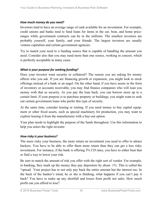#### *How much money do you need?*

Investors tend to have an average range of cash available for an investment. For example, credit unions and banks tend to fund loans for items in the car, boat, and home priceranges while government contracts can be in the millions. The smallest investors are probably yourself, your family, and your friends. The largest investors are usually venture capitalists and certain government agencies.

Try to match your need to a funding source that is capable of handling the amount you need. Consider also that you may need more than one source, working in concert, which is perfectly acceptable in many cases.

#### *What is your purpose for seeking funding?*

Does your investor want security or collateral? The reason you are asking for money affects who you ask. If you are financing growth or expansion, you might look to stock offerings instead of a bank or an angel. On the other hand, if you have assets in the form of inventory or accounts receivable, you may find finance companies who will loan you money with that as security. As you pay the loan back, you can borrow more up to a certain limit. If your purpose is to purchase property or buildings, you might want to seek out certain government loans who prefer this type of security.

At the same time, consider leasing or renting. If you need money to buy capital equipment or other fixed assets, such as special machinery for production, you may want to explore leasing it from the manufacturer with a buy-out option.

Your plan needs to highlight the purpose of the funds throughout. Use this information to help you select the right investor.

#### *How risky is your business?*

The more risky your business, the more return on investment you need to offer to attract backers. You have to be able to offer them more return than they can get a less risky investment. For instance, if the bank is offering 5% CD rates, you have to either beat that or find a way to lower your risk.

Be sure to match the amount of risk you offer with the right sort of vendor. For example, in banking, they mark up the money they pay depositors by about .1%. This is called the "spread." Your project has to not only pay back the entire amount but the interest too. In the back of the banker's mind, he or she is thinking, what happens if you can't pay it back? You have to make up any shortfall and losses from profit not sales. How much profit can you afford to lose?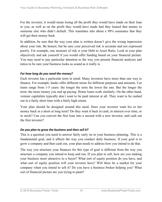For the investor, it would mean losing all the profit they would have made on their loan to you, as well as on the profit they would have made had they loaned that money to someone else who didn't default. This translates into about a 98% assurance that they will get their money back.

In addition, be sure that the way your plan is written doesn't give the wrong impression about your risk. Be honest, but be sure your perceived risk is accurate and not expressed poorly. For example, one measure of risk is your Debt to Asset Ratio. Look at your plan objectively and ask yourself if you would offer funding based on your financial picture. You may need to pay particular attention to the way you present financial analyses and ratios to be sure your business looks as sound as it really is.

#### For how long do you need the money?

Each investor has a particular term in mind. Many investors have more than one way to finance. For example, banks offer different terms for different purposes and amounts. Car loans range from 1-5 years: the longer the term the lower the rate. But the longer the term, the more money you end up paying. Home loans work similarly. On the other hand, venture capitalists typically don<sup>'</sup>t want to be paid interest at all. They want to be cashed out in a fairly short time with a fairly high return.

Your plan should be designed around this need. Does your investor want his or her money back in a short or long term? Do they want it back in cash, in interest over time, or in stock? Can you convert the first loan into a second with a new investor, and cash out the first investor?

#### Do you plan to grow the business and then sell it?

This is a question you need to answer fairly early on in your business planning. This is a fundamental goal, and it affects the way you conduct daily business. If your goal is to grow a company and then cash out, your plan needs to address how you intend to do that.

The way you structure your finances for this type of goal is different from the way you structure a company you intend to keep and run. If you plan to sell, how are you making your business more attractive to a buyer? What sort of equity position do you have, and what sort of equity position will your investor have? Will there be a market for your company when you intend to sell it? Do you have a business broker helping you? What sort of financial picture are you trying to paint?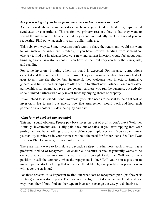#### Are you seeking all your funds from one source or from several sources?

As mentioned above, some investors, such as angels, tend to fund in groups called syndicates or consortiums. This is for two primary reasons. One is that they want to spread the risk around. The other is that they cannot individually meet the amount you are requesting. Find out what each investor's dollar limits are.

This rubs two ways... Some investors don't want to share the return and would not want to join such an arrangement. Similarly, if you have previous funding from somewhere else, try to find out in advance how your new and current investors would feel about your bringing another investor on-board. You have to spell out very carefully the terms, risk, and standing.

For some investors, bringing others on board is expected. For instance, corporations expect it and they sell stock for that reason. They care somewhat about how much stock goes to any one shareholder but, in general, they welcome new investors. Similarly, general and limited partnerships are often set up to attract new partners. Some real estate partnerships, for example, have a few general partners who run the business, but actively solicit limited partners who only invest funds by buying shares of property.

If you intend to solicit additional investors, your plan needs to be sent to the right sort of investor. It has to spell out exactly how that arrangement would work and how each partner or shareholder divides the equity and risk.

#### **What form of payback can you offer?**

This may sound obvious. People pay back investors out of profits, don't they? Well, no. Actually, investments are usually paid back out of sales. If you start tapping into your profit, then you have nothing to pay yourself or your employees with. You also eliminate your ability to reinvest in your business without the need for further loans. See Part Two: Business Plan Financials, for more information.

There are many ways to formulate a payback strategy. Furthermore, each investor has a preferred method of repayment. For example, a venture capitalist generally wants to be cashed out. You have to show that you can earn enough to do that. Will you be in a position to sell the company when the repayment is due? Will you be in a position to make a public stock offering that will cover the debt? Or, can you take on partners who will cover the cash out?

For these reasons, it is important to find out what sort of repayment plan (exit/payback strategy) your investor expects. Then you need to figure out if you can meet that need one way or another. If not, find another type of investor or change the way you do business.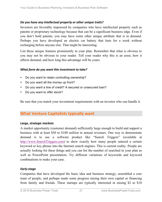#### *Do you have any intellectual property or other unique traits?*

Investors are favorably impressed by companies who have intellectual property such as patents or proprietary technology because that can be a significant business edge. Even if you don't hold patents, you may have some other unique attribute that is in demand. Perhaps you have developed an electric car battery that lasts for a week without recharging before anyone else. That might be interesting.

List these unique features prominently in your plan. Remember that what is obvious to you may not be obvious to your reader. Tell your reader why this is an asset, how it affects demand, and how long this advantage will be yours.

#### *What form do you want this investment to take?*

- Do you want to retain controlling ownership?
- Do you want all the money up front?
- Do you want a line of credit? A secured or unsecured loan?
- Do you want to offer stock?

Be sure that you match your investment requirements with an investor who can handle it.

## **What Venture Capitalists typically want**

#### *Large, strategic markets*

A market opportunity (customer demand) sufficiently large enough to build and support a business with at least \$50 to \$100 million in annual revenues. One way to demonstrate demand is to use a software product like "Search Triggers" (available at http://www.SearchTriggers.com) to show exactly how many people entered a certain keyword or key phrase into the Internet search engines. This is current reality. People are actually looking for these things and you can list the number of searched in your plan as well as PowerPoint presentation. Try different variations of keywords and keyword combinations to make your case.

#### *Early-stage*

Companies that have developed the basic idea and business strategy, assembled a core team of people, and perhaps made some progress raising their own capital or financing from family and friends. These startups are typically interested in raising \$2 to \$10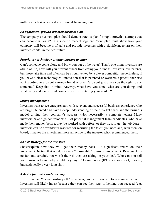million in a first or second institutional financing round.

#### *An aggressive, growth-oriented business plan*

The company's business plan should demonstrate its plan for rapid growth—startups that can become #1 or #2 in a specific market segment. Your plan must show how your company will become profitable and provide investors with a significant return on their invested capital in the near future.

#### *Proprietary technology or other barriers to entry*

Can't someone come along and blow you out of the water? That's one thing investors are afraid of. So, how will you prevent others from eating your lunch? Investors love patents, but those take time and often can be circumvented by a clever competitor, nevertheless, if you have a clear technological innovation that is patented or warrants a patent, then use it. According to a patent attorney friend of ours, "a patent just gives you the right to sue someone." Keep that in mind. Anyway, what have you done, what are you doing, and what can you do to prevent competitors from entering your market?

#### **Strong management**

Investors want to see entrepreneurs with relevant and successful business experience who are bright, talented and have a deep understanding of their market space and the business model driving their company's success. (Not necessarily a complete team.) Many investors have a golden rolodex full of potential management team candidates, who have made them money before, they've worked with before, or they trust to get the job done – investors can be a wonderful resource for recruiting the talent you need and, with them on board, it makes the investment more attractive to the investor who recommended them.

#### *An exit strategy for the investors*

Show/explain how they will get their money back  $+$  a significant return on their investment. Notice that we don't say a "reasonable" return on investment. Reasonable is no fun and certainly not worth the risk they are taking on your deal. Who can you sell your business to and why would they buy it? Going public (IPO) is a long shot, do-able, but statistically a very long shot.

#### *A desire for advice and coaching*

If you are an "I can do-it-myself" smart-ass, you are doomed to remain all alone… Investors will likely invest because they can see their way to helping you succeed (e.g.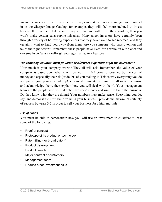assure the success of their investment). If they can make a few calls and get your product in to the Sharper Image Catalog, for example, they will feel more inclined to invest because they can help. Likewise, if they feel that you will utilize their wisdom, then you won't make certain catastrophic mistakes. Many angel investors have certainly been through a variety of harrowing experiences that they never want to see repeated, and they certainly want to head you away from them. Are you someone who pays attention and takes the right action? Remember, these people have lived for a while on our planet and can smell/spot/sense a self-righteous ego-maniac in a heartbeat.

#### The company valuation must fit within risk/reward expectations for the investment

How much is your company worth? They all will ask. Remember, the value of your company is based upon what it will be worth in 3-5 years, discounted by the cost of money and especially the risk (or doubt) of you making it. This is why everything you do and put in your plan must add up! You must eliminate or minimize all risks (recognize and acknowledge them, then explain how you will deal with them). Your management team are the people who will take the investors' money and use it to build the business. Do they know what they are doing? Your numbers must make sense. Everything you do, say, and demonstrate must build value in your business – provide the maximum certainty of success by years 3-5 in order to sell your business for a high multiple.

#### *Use of Funds*

You must be able to demonstrate how you will use an investment to *complete* at least some of the following:

- Proof of concept
- Prototype of its product or technology
- Patent filing (for broad patent)
- Product development
- Product launch
- Major contract or customers
- Management team
- Reduce other investment risks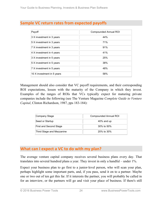## **Sample VC return rates from expected payoffs**

| Payoff                            | Compounded Annual ROI |  |  |  |  |  |  |
|-----------------------------------|-----------------------|--|--|--|--|--|--|
| 3 X investment in 3 years         | 44%                   |  |  |  |  |  |  |
| 5 X investment in 3 years         | 71%                   |  |  |  |  |  |  |
| 7 X investment in 3 years         | 91%                   |  |  |  |  |  |  |
| $ 4 \times$ investment in 4 years | 41%                   |  |  |  |  |  |  |
| $ 3 \times$ investment in 5 years | 25%                   |  |  |  |  |  |  |
| 5 X investment in 5 years         | 38%                   |  |  |  |  |  |  |
| 7 X investment in 5 years         | 48%                   |  |  |  |  |  |  |
| 10 X investment in 5 years        | 58%                   |  |  |  |  |  |  |

Management should also consider that VC payoff requirements, and their corresponding ROI expectations, lessen with the maturity of the Company in which they invest. Examples of the ranges of ROIs that VCs typically expect for maturing private companies include the following (see The Venture Magazine *Complete Guide to Venture Capital*, Clinton Richardson, 1987, pps 183-184):

| Company Stage             | Compounded Annual ROI |
|---------------------------|-----------------------|
| Seed or Startup           | 40% and up            |
| First and Second Stage    | $30\%$ to 50%         |
| Third Stage and Mezzanine | 20% to 30%            |

## **What can I expect a VC to do with my plan?**

The average venture capital company receives several business plans every day. That translates into several hundred plans a year. They invest in only a handful – under 1%.

Expect your business plan to go first to a junior-level person, who will scan your plan, perhaps highlight some important parts, and, if you pass, send it on to a partner. Maybe one or two out of ten get this far. If it interests the partner, you will probably be called in for an interview, or the partners will go and visit your place of business. If there's still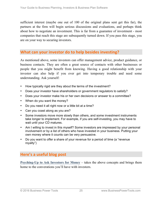sufficient interest (maybe one out of 100 of the original plans sent get this far), the partners at the firm will begin serious discussions and evaluations, and perhaps think about how to negotiate an investment. This is far from a guarantee of investment - most companies that reach this stage are subsequently turned down. If you pass this stage, you are on your way to securing investors.

### **What can your investor do to help besides investing?**

As mentioned above, some investors can offer management advice, product guidance, or business contacts. They are often a great source of contacts with other businesses or people that you might benefit from knowing. Having a good relationship with your investor can also help if you ever get into temporary trouble and need some understanding. Ask yourself:

- How typically rigid are they about the terms of the investment?
- Does your investor have shareholders or government regulators to satisfy?
- Does your investor make his or her own decisions or answer to a committee?
- When do you want the money?
- Do you need it all right now or a little bit at a time?
- Can you coast along as you are?
- Some investors move more slowly than others, and some investment instruments take longer to implement. For example, if you are self-investing, you may have to wait until your CD matures.
- Am I willing to invest in this myself? Some investors are impressed by your personal involvement or by a list of others who have invested in your business. Putting your own money where it counts can be very persuasive.
- Do you want to offer a share of your revenue for a period of time (a "revenue" royalty")

# **Here's a useful blog post**

**Psyching-Up to Ask Investors for Money** – takes the above concepts and brings them home to the converations you'll have with investors.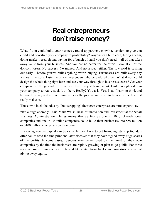# **Real entrepreneurs don't raise money?**

What if you could build your business, round up partners, convince vendors to give you credit and bootstrap your company to profitability? Anyone can burn cash, hiring a team, doing market research and paying for a bunch of stuff you don't need – all of that takes away value from your business. And you are no better for the effort. Look at all of the dot.com losers. No success. No money. And no respect either. The low road is cashing out early – before you've built anything worth buying. Businesses are built every day without investors. Listen to any entrepreneurs who've endured them. What if you could design the whole thing right here and see your way through to business success? Get your company off the ground or to the next level by just being smart. Build enough value in your company to really stick it to them. Really? You ask. Yes. I say. Learn to think and behave this way and you will tune your skills, psyche and spirit to be one of the few that really makes it.

Those who buck the odds by "bootstrapping" their own enterprises are rare, experts say.

"It's a huge anomaly," said Mark Walsh, head of innovation and investment at the Small Business Administration. He estimates that as few as one in 50 brick-and-mortar companies and one in 10 online companies could build their businesses into \$50 million or \$100 million enterprises on their own.

But taking venture capital can be risky. In their haste to get financing, start-up founders often fail to read the fine print and later discover that they have signed away huge shares of the profits. In some cases, founders may be removed by the board of their own companies by the time the businesses are rapidly growing or plan to go public. For these reasons, some founders opt to take debt capital from banks and investors instead of giving away equity.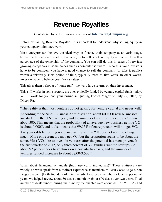# **Revenue Royalties**

#### Contributed by Robert Steven Kramarz of **IntelliversityCampus.org**

Before explaining Revenue Royalties, it's important to understand why selling equity in your company might not work.

Most entrepreneurs believe the ideal way to finance their company at an early stage, before bank loans are readily available, is to sell stock or equity – that is, to sell a percentage of the ownership of the company. You can still do this in cases of very fast growing companies in some niches such as computer software. To do this, your investors have to be confident you have a good chance to sell the company (or take it public) within a relatively short period of time, typically three to five years. In other words, investors have to believe your "exit strategy".

This gives them a shot at a "home run" – i.e. very large returns on their investment.

This still works in some sectors, the ones typically funded by venture capital funds today. Will it work for you and your business? Quoting Forbes Magazine, July 22, 2013, by Dileep Rao:

"The reality is that most ventures do not qualify for venture capital and never will.

According to the Small Business Administration, about 600,000 new businesses are started in the U.S. each year, and the number of startups funded by VCs was about 300. This means that the probability of an average new business getting VC is about 0.0005, and it also means that 99.95% of entrepreneurs will not get VC.

Are your odds better if you are an existing venture? It does not seem to change much. More entrepreneurs may get VC, but the proportion seems to be about the same. Most VCs like to invest in ventures after the potential has been proven. In the first quarter of 2012, only three percent of VC funding went to startups. So about 97 percent goes to ventures on a post-startup basis, and the number of ventures funded increases to about 3,000-3,500."

What about financing by angels (high net-worth individuals)? These statistics vary widely, so we'll speak from our direct experience as members of Tech Coast Angels, San Diego chapter. (Both founders of Intelliversity have been members.) Over a period of years, we helped review about 30 deals a month or about 600 deals over two years. Total number of deals funded during that time by the chapter were about 20 – or 3%. 97% had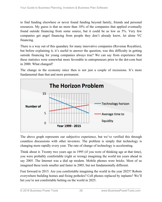to find funding elsewhere or never found funding beyond family, friends and personal resources. My guess is that no more than 10% of the companies that applied eventually found outside financing from some source, but it could be as low as 5%. Very few companies get angel financing from people they don't already know, let alone VC financing.

There is a way out of this quandary for many innovative companies (Revenue Royalties), but before explaining it, it's useful to answer the question, was this difficulty in getting outside financing for young companies always true? We can say from experience that these statistics were somewhat more favorable to entrepreneurs prior to the dot-com bust in 2000. What changed?

The change in the economy since then is not just a couple of recessions. It's more fundamental than that and more permanent.



The above graph represents our subjective experience, but we've verified this through countless discussions with other investors. The problem is simply that technology is changing more rapidly every year. The rate of change of technology is accelerating.

Think about it. Twenty two years ago in 1995 (if you were of thinking age at that time), you were probably comfortable (right or wrong) imagining the world ten years ahead in say 2005. The Internet was a dial up modem. Mobile phones were bricks. Most of us imagined these tools smaller and faster in 2005, but not fundamentally different.

Fast forward to 2015. Are you comfortable imagining the world in the year 2025? Robots everywhere building homes and fixing potholes? Cell phones replaced by inplants? We'll bet you're not comfortable betting on the world in 2025.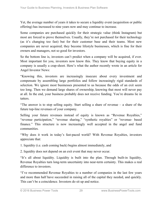Yet, the average number of years it takes to secure a liquidity event (acquisition or public offering) has increased to nine years now and may continue to increase.

Some companies are purchased quickly for their strategic value (think Instagram) but most are forced to prove themselves. Usually, they're not purchased for their technology (as it's changing too fast) but for their customer base and their teams. Most new companies are never acquired; they become lifestyle businesses, which is fine for their owners and managers, not so good for investors.

So the bottom line is, investors can't predict when a company will be acquired, if ever. Most important for you, investors now know this. They know that buying equity in a company is usually a crap-shoot. Here's what the author recently wrote in an article for Angel Investor News:

"Knowing this, investors are increasingly insecure about every investment and compensate by assembling large portfolios and follow increasingly rigid standards of selection. We ignore most businesses presented to us because the odds of an exit seem too long. Then we demand large shares of ownership, knowing that most will never pay at all. In the end, your business probably does not receive funding. You're dreams lie in tatters.

"The answer is to stop selling equity. Start selling a share of revenue – a share of the future top-line revenues of your company.

Selling your future revenues instead of equity is known as "Revenue Royalties," "revenue participation," "revenue sharing," "synthetic royalties" or "revenue- based finance." This structure is now increasingly well accepted in the angel and fund communities.

"Why does it work in today's fast-paced world? With Revenue Royalties, investors appreciate that:

1. liquidity (i.e. cash coming back) begins almost immediately, and

2. liquidity does not depend on an exit event that may never occur.

"It's all about liquidity. Liquidity is built into the plan. Through built-in liquidity, Revenue Royalties turn long-term uncertainty into near-term certainty. This makes a real difference to investors.

"I've recommended Revenue Royalties to a number of companies in the last few years and more than half have succeeded in raising all of the capital they needed, and quickly. This can't be a coincidence. Investors do sit up and notice.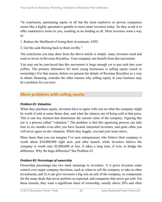"In conclusion, purchasing equity in all but the most explosive or proven companies seems like a highly speculative gamble to most smart investors today. So they avoid it or offer unattractive terms to you, resulting in no funding at all. Most investors want a way to:

- 1. Reduce the likelihood of losing their investment, AND
- 2. Get the cash flowing back to them swiftly."

The conclusion you may draw from the above article is simple: many investors need and want to invest in Revenue Royalties. Your company can benefit from this movement.

You may not be convinced that this movement is large enough yet to put cash into your coffers. The primary alternative for most young businesses is selling equity (stock or ownership.) For that reason, before we present the details of Revenue Royalties as a way to obtain financing, consider the other reasons why selling equity in your business may be a problem for you now:

# **More problems with selling equity**

#### **Problem #1: Valuation**

When they purchase equity, investors have to agree with you on what the company might be worth if sold at some future date, and what the chances are of being sold at that price. This is one key element that determines the current value of the company. Figuring this out is a process called "valuation." The problem is that this agonizing process can take four to six months even after you have located interested investors, and quite often you will never agree on the valuation. While they haggle, you and your team starve.

More times than you can imagine I've seen entrepreneurs who believe their company is worth about \$10,000,000 right now, just after launch, while investors believe the company is worth only \$2,000,000 or less. It takes a long time, if ever, to bridge the difference. Why the huge difference? See Problem #2.

#### **Problem #2: Percentage of ownership**

Ownership percentage has two main meanings to investors: 1) it gives investors some control over major company decisions, such as when to sell the company or take in other investments; and 2) it can give investors a big win on sale of the company, to compensate for the many deals that never perform as expected, and companies that never get sold. For these reasons, they want a significant share of ownership, usually above 20% and often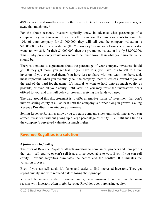40% or more, and usually a seat on the Board of Directors as well. Do you want to give away that much now?

For the above reasons, investors typically know in advance what percentage of a company they want to own. This affects the valuation. If an investor wants to own only 10% of your company for \$1,000,000, they will tell you the company valuation is \$9,000,000 before the investment (the "pre-money" valuation.) However, if an investor wants to own 25% for their \$1,000,000, then the pre-money valuation is only \$3,000,000. This is why pre-money valuations seem to be much lower than what you think the value should be.

There is a natural disagreement about the percentage of your company investors should get: If they get more, you get less. If you have less, you have less to sell to future investors if you ever need them. You have less to share with key team members, and, most important, when you eventually sell the company, there is less of a reward to you at the end of the hard-fought game. It's natural to want to hold onto as much equity as possible, or even all your equity, until later. So you may resist the unattractive deals offered to you, and this will delay or prevent receiving the funds you need.

The way around this disagreement is to offer alternative forms of investment that don't involve selling equity at all, at least until the company is further along in growth. Selling Revenue Royalties is an attractive alternative.

Selling Revenue Royalties allows you to retain company stock until such time as you can attract investment without giving up a large percentage of equity – i.e. until such time as the company's perceived valuation is much higher.

# **Revenue Royalties is a solution**

#### *A faster path to funding*

The offer of Revenue Royalties attracts investors to companies, projects and non- profits that can't sell equity, or can't sell it at a price acceptable to you. Even if you can sell equity, Revenue Royalties eliminates the battles and the conflict. It eliminates the valuation process.

Even if you can sell stock, it's faster and easier to find interested investors. They get repaid quickly and with reduced risk of losing their principal.

You get the money needed to survive and grow – win-win. Here then are the main reasons why investors often prefer Revenue Royalties over purchasing equity: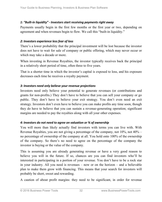#### 1: "Built-in liquidity" - Investors start receiving payments right away

Payments usually begin in the first few months or the first year or two, depending on agreement and when revenues begin to flow. We call this "built-in liquidity."

#### 2: Investors experience less fear of loss

There's a lower probability that the principal investment will be lost because the investor does not have to wait for sale of company or public offering, which may never occur or which may take a decade or more.

When investing in Revenue Royalties, the investor typically receives back the principal in a relatively short period of time, often three to five years.

That is a shorter time in which the investor's capital is exposed to loss, and his exposure decreases each time he receives a royalty payment.

#### 3: Investors need only believe your revenue projections

Investors need only believe your potential to generate revenues (or contributions and grants for non-profits.) They don't have to believe that you can sell your company or go public. They don't have to believe your exit strategy. You don't even need an exit strategy. Investors don't even have to believe you can make profits any time soon, though they do have to believe that you can sustain a revenue-generating operation; significant margins are needed to pay the royalties along with all your other expenses.

#### 4: Investors do not need to agree on valuation or % of ownership

You will more than likely actually find investors with terms you can live with. With Revenue Royalties, you are not giving a percentage of the company, not 10%, not 40% – no percentage of ownership of the company at all. You hold onto 100% of the ownership of the company. So there's no need to agree on the percentage of the company the investor is buying or the value of the company.

This is assuming you are already generating revenue or have a very good reason to believe you will in the future. If so, chances are you can find investors who'll be interested in participating in a portion of your revenue. You don't have to be a rock star in your industry. All you need is revenues – now or on the horizon – and a believable plan to make them grow with financing. This means that your search for investors will probably be short, sweet and rewarding.

A caution of about profit margins: they need to be significant, in order for revenue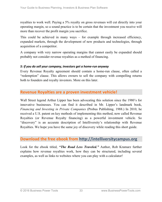royalties to work well. Paying a 5% royalty on gross revenues will cut directly into your operating margin, so a sound practice is to be certain that the investment you receive will more than recover the profit margin you sacrifice.

This could be achieved in many ways – for example through increased efficiency, expanded markets, through the development of new products and technologies, through acquisition of a competitor.

A company with very narrow operating margins that cannot easily be expanded should probably not consider revenue royalties as a method of financing.

#### *5: If you do sell your company, investors get a home-run anyway*

Every Revenue Royalty agreement should contain a home-run clause, often called a "redemption" clause. This allows owners to sell the company with compelling returns both to founders and royalty investors. More on this later.

#### **Revenue Royalties are a proven investment vehicle!**

Wall Street legend Arthur Lipper has been advocating this solution since the 1980's for innovative businesses. You can find it described in Mr. Lipper's landmark book, *Financing and Investing in Private Companies* (Probus Publishing, 1988.) In 2010, he received a U.S. patent on key methods of implementing this method, now called Revenue Royalties (or Revenue Royalty financing) as a powerful investment vehicle. So "discovery" is an accurate description of Intelliversity's relationship with Revenue Royalties. We hope you have the same joy of discovery while reading this short guide.

#### **Download the free ebook from http://intelliversitycampus.org**

Look for the ebook titled, *"The Road Less Traveled."* Author, Rob Kramarz further explains how revenue royalties work, how they can be structured, including several examples, as well as links to websites where you can play with a calculator!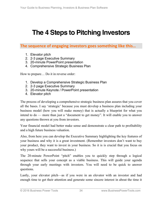# **The 4 Steps to Pitching Investors**

The sequence of engaging investors goes something like this...

- 1. Elevator pitch
- 2. 2-3 page Executive Summary
- 3. 20-minute PowerPoint presentation
- 4. Comprehensive Strategic Business Plan

How to prepare… Do it in reverse order:

- 1. Develop a Comprehensive Strategic Business Plan
- 2. 2-3 page Executive Summary
- 3. 20-minute Keynote / PowerPoint presentation
- 4. Elevator pitch

The process of developing a comprehensive strategic business plan assures that you cover all the bases. I say 'strategic' because you must develop a business plan including your business model (how you will make money) that is actually a blueprint for what you intend to do — more than just a "document to get money". It will enable you to answer any questions thrown at you from investors.

Your financial model had better make sense and demonstrate a clear path to profitability and a high future business valuation.

Also, from here you can develop the Executive Summary highlighting the key features of your business and why it is a great investment. (Remember investors don't want to buy your product, they want to invest in your business. So it is is crucial that you focus on why yours will be a successful business.)

The 20-minute PowerPoint "pitch" enables you to quickly step through a logical sequence that sells your concept as a viable business. This will guide your agenda through your early meetings with investors. You will need to be quick to answer questions.

Lastly, your elevator pitch—as if you were in an elevator with an investor and had enough time to get their attention and generate some sincere interest in about the time it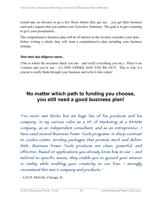would take an elevator to go a few floors before they get out… you get their business card and a request that you submit your Executive Summary. The goal is to get a meeting to give your presentation.

The comprehensive business plan will be of interest as the investor considers your deal before writing a check, they will want a comprehensive plan including your business strategy.

#### **Then their due-diligence starts...**

(This is where the investors check you out – and verify everything you say.) There is no 3-strikes and you're out – it's ONE STRIKE AND YOU'RE OUT! This is why it's crucial to really think-through your business and write it into a plan!

# **No matter which path to funding you choose, you still need a good business plan!**

"I've never met Burke but am huge fan of his products and his company. In my various roles as a VP of Marketing at a \$400M company, as an independent consultant, and as an entrepreneur, I have used several Business Power Tools programs. In sharp contrast to cookie-cutter, turnkey packages that promise much and deliver little, Business Power Tools products are clean, powerful, and effective. Based on applications you already know how to use – and tailored to specific issues, they enable you to ground your mission in reality while enabling your creativity to run free. I strongly recommend this man's company and products."

 $\sim$  Carl D. Melville, Chicago, IL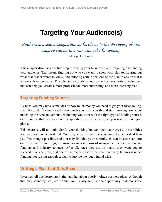# **Targeting Your Audience(s)**

Nowhere is a man's imagination so fertile as in the discovery of new ways to say no to a man who asks for money.

- Joseph H. Shapiro

This chapter discusses the first step in writing your business plan—targeting and landing your audience. That means figuring out who you want to show your plan to, figuring out what that reader wants to know, and tailoring certain sections of the plan to ensure that it answers those concerns. This chapter also talks about some business writing techniques that can help you create a more professional, more interesting, and more inspiring plan.

# **Targeting Funding Sources**

By now, you may have some idea of how much money you need to get your ideas rolling. Even if you don' t know exactly how much you need, you should start thinking now about matching the type and amount of funding you want with the right type of funding source. Once you do that, you can find the specific investor or investors you want to send your plan to.

This exercise will not only clarify your thinking but can open your eyes to possibilities you may not have considered. You may actually find that you can get a better deal than you first thought possible, and you may find that your carefully chosen investor can turn out to be one of your biggest business assets in terms of management advice, secondary funding, and industry contacts. After all, once they are on board, they want you to succeed. Consider, too, that one of the major reasons for small company failures is under funding: not raising enough capital to survive the tough initial trials.

## **Writing a Plan that Gets Read**

Investors tell one horror story after another about poorly written business plans. Although that may sound cynical, realize that you usually get just one opportunity to demonstrate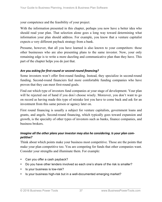your competence and the feasibility of your project.

With the information presented in this chapter, perhaps you now have a better idea who should read your plan. That selection alone goes a long way toward determining what information your plan should address. For example, you know that a venture capitalist expects a very different payback strategy from a bank.

Presume, however, that all you have learned is also known to your competitors: those other businesses who are also presenting plans to the same investor. Now, your only remaining edge is to write a more dazzling and communicative plan than they have. This part of the chapter helps you do just that.

#### Are you asking for first-round or second-round financing?

Some investors won't offer first-round funding. Instead, they specialize in second-round funding. Second-round financiers feel more comfortable funding companies who have proven that they can meet first-round goals.

Find out which type of investors fund companies at your stage of development. Your plan will be rejected out of hand if you don't choose wisely. Moreover, you don't want to go on record as having made this type of mistake lest you have to come back and ask for an investment from this same person or agency later on.

First round financing is usually a subject for venture capitalists, government loans and grants, and angels. Second-round financing, which typically goes toward expansion and growth, is the specialty of other types of investors such as banks, finance companies, and business brokers.

#### *Imagine all the other plans your investor may also he considering. Is your plan competitive?*

Think about which points make your business most competitive. Those are the points that make your plan competitive too. You are competing for funds that other companies want. Consider your strengths and illuminate them. For example:

- Can you offer a cash payback?
- Do you have other lenders involved so each one's share of the risk is smaller?
- Is your business is low-risk?
- Is your business high-risk but in a well-documented emerging market?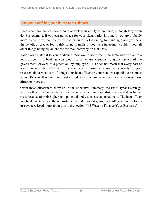## **Put vourself in your investor's shoes**

Even small companies should not overlook their ability to compete, although they often do. For example, if you can get space for your pizza parlor in a mall, you are probably more competitive than the street-corner pizza parlor asking for funding since you have the benefit of greater foot traffic found in malls. If you were investing, wouldn't you, all other things being equal, choose the mall company on that basis?

Tailor your material to your audience. You would not present the same sort of plan to a loan officer in a bank as you would to a venture capitalist, a grant agency of the government, or even to a potential key employee. This does not mean that every part of your plan must be different for each audience, it simply means that you rely on your research about what sort of things your loan officer or your venture capitalist cares most about. Be sure that you have customized your plan so as to specifically address those different interests.

Often these differences show up in the Executive Summary, the Exit/Payback strategy, and in other financial sections. For instance, a venture capitalist is interested in higher risks because of their higher gain potential and wants cash as repayment. The loan officer in a bank wants almost the opposite: a low risk, modest gains, and will accept other forms of payback. Read more about this in the section, "65 Ways to Finance Your Business."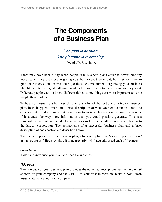# **The Components of a Business Plan**

# The plan is nothing. The planning is everything.

- Dwight D. Eisenhower

There may have been a day when people read business plans cover to cover. Not any more. When they get close to giving you the money, they might, but first you have to grab their interest and answer their questions. We recommend organizing your business plan like a reference guide allowing readers to turn directly to the information they want. Different people want to know different things; some things are more important to some people than to others.

To help you visualize a business plan, here is a list of the sections of a typical business plan, in their typical order, and a brief description of what each one contains. Don't be concerned if you don't immediately see how to write such a section for your business, or if it sounds like way more information than you could possibly generate. This is a standard format that can be adapted equally as well to the smallest one-owner shop as to the largest corporation. The components of a successful business plan and a brief description of each section are described below.

The core components of the business plan, which will place the "story of your business" on paper, are as follows. A plan, if done properly, will have addressed each of the areas:

#### *Cover letter*

Tailor and introduce your plan to a specific audience.

#### *Title page*

The title page of your business plan provides the name, address, phone number and email address of your company and the CEO. For your first impression, make a bold, clean visual statement about your company.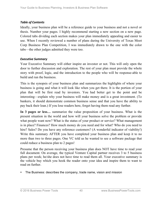#### **Table of Contents**

Ideally, your business plan will be a reference guide to your business and not a novel or thesis. Number your pages. I highly recommend starting a new section on a new page. Colored tabs dividing each section makes your plan immediately appealing and easier to use. When I recently reviewed a number of plans during the University of Texas Moot Corp Business Plan Competition, I was immediately drawn to the one with the color tabs—the other judges admitted they were too.

#### *Executive Summary*

Your Executive Summary will either inspire an investor or not. This will only open the door to further discussion and exploration. The rest of your plan must provide the whole story with proof, logic, and the introduction to the people who will be response-able to build and run the business.

This is the synopsis of your business plan and summarizes the highlights of where your business is going and what it will look like when you get there. It is the portion of your plan that will be first read by investors. You had better get to the point and be interesting—explain why your business will make money and is a great investment. (To bankers, it should demonstrate common business sense and that you have the ability to pay back their loan.) If you lose readers here, forget having them read any further.

**In 3 pages or less…** summarize the value proposition of your business. What is the present situation in the world and how will your business solve the problem or provide what people want now? What is the status of your product or service? What management is in place? Finances? How much money do you need and for what? Who do you need to hire? Sales? Do you have any reference customers? (A wonderful indicator of viability!) Write this summary AFTER you have completed your business plan and keep it to no more than two to three pages. One VC told us he wanted to see a software package that could reduce a business plan to 2 pages!

Presume that the person receiving your business plan does NOT have time to read your full document. On average, the typical Venture Capital partner receives 3 to 5 business plans per week; he/she does not have time to read them all. Your executive summary is the vehicle buy which you hook the reader onto your idea and inspire them to want to read on further.

• The Business: describes the company, trade name, vision and mission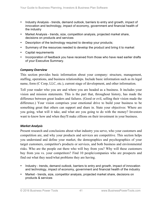- Industry Analysis trends, demand outlook, barriers to entry and growth, impact of innovation and technology, impact of economy, government and financial health of the industry
- Market Analysis trends, size, competition analysis, projected market share, decisions on products and services
- Description of the technology required to develop your products;
- Summary of the resources needed to develop the product and bring it to market
- Capital requirements
- Incorporation of feedback you have received from those who have read earlier drafts of your Executive Summary.

#### *Company Overview*

This section provides basic information about your company: structure, management, staffing, operations, and business relationships. Include basic information such as its legal name, form (C Corp, LLC, etc.), current stage of development, and other information.

Tell your reader who you are and where you are headed as a business. It includes your vision and mission statements. This is the part that, throughout history, has made the difference between great leaders and failures. (Good or evil, selling their vision made the difference.) Your vision comprises your emotional drive to build your business to be something great that others can support and share in. State your objectives: Where are you going, what will it take, and what are you going to do with the money? Investors want to know how and when they'll make zillions on their investment in your business.

#### *Market Analysis*

Present research and conclusions about what industry you serve, who your customers and competition are, and why your products and services are competitive. This section helps you understand and define your market, the demographics and psychographics of your target customers, competitor's products or services, and both business and environmental risks. Who are the people out there who will buy from you? Why will these customers buy from you vs. your competitors? Find 10 people/companies who are prospects and find out what they need/what problems they are having.

- Industry trends, demand outlook, barriers to entry and growth, impact of innovation and technology, impact of economy, government and financial health of the industry
- Market trends, size, competitor analysis, projected market share, decisions on products & services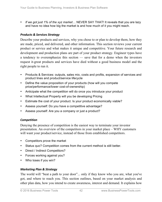• *If we got just 1% of the xyz market…* NEVER SAY THAT! It reveals that you are lazy and have no idea how big the market is and how much of it you might reach.

#### *Products & Services Strategy*

Describe your products and services, why you chose to or plan to develop them, how they are made, priced, and delivered, and other information. This section reviews your current product or service and what makes it unique and competitive. Your future research and development and production plans are part of your product strategy. Engineer types have a tendency to overemphasize this section — save that for a demo when the investors request it-great products and services have died without a good business model and the right people to run it.

- Products & Services: outputs, sales mix, costs and profits, expansion of services and product lines and product/service lifecycle
- Define the value proposition of your products (how will you compete price/performance/lower cost-of-ownership)
- Anticipate what the competition will do once you introduce your product
- What Intellectual Property will you be developing Pricing
- Estimate the cost of your product. Is your product economically viable?
- Assess yourself: Do you have a competitive advantage?
- Assess yourself: Are you a company or just a product?

#### *Competition*

Denying the presence of competition is the easiest way to terminate your investor presentation. An overview of the competitors in your market place – WHY customers will want your product/service, instead of those from established competitors.

- Competitors prove the market
- Status quo? Competition comes from the current method is still better.
- Direct / Indirect Competitors?
- Forces working against you?
- Who loses if you win?

#### *Marketing Plan & Strategy*

The world will "beat a path to your door"... only if they know who you are, what you've got, and where to reach you. This section outlines, based on your market analysis and other plan data, how you intend to create awareness, interest and demand. It explains how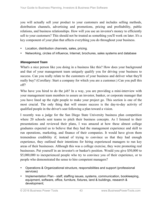you will actually sell your product to your customers and includes selling methods, distribution channels, advertising and promotions, pricing and profitability, public relations, and business relationships. How will you use an investor's money to efficiently sell to your customers? This should not be treated as something you'll work on later. It's a key component of your plan that affects everything you do throughout your business.

- Location, distribution channels, sales, pricing.
- Networking, circles of influence, Internet, brochures, sales systems and database

#### *Management Team*

What's a nice person like you doing in a business like this? How does your background and that of your management team uniquely qualify you for driving your business to success. Can you really relate to the customers of your business and deliver what they'll really buy? (Corollary: Start a company for which you are a customer.) Can you pull this off?

Who have you hired to do the job? In a way, you are providing a mini-interview with your management team members to assure an investor, banker, or corporate manager that you have lined up the right people to make your project go. This section is one of the most crucial. The only thing that will ensure success is the day-to-day activity of qualified people in the driver's seat following a plan toward a vision.

I recently was a judge for the San Diego State University business plan competition where 20 schools sent teams to pitch their business concepts. As I listened to their presentations and reviewed their plans, I was amazed at how these almost college graduates expected us to believe that they had the management experience and skill to run operations, marketing, and finance of their companies. It would have given them tremendous credibility if, instead of trying to convince us that they had enough experience, they outlined their intentions for hiring experienced managers to run key areas of their businesses. Although this was a college exercise, they were promoting real businesses. Put yourself in an investor's or banker's position. Would you give \$50,000 to \$5,000,000 to inexperienced people who try to convince you of their experience, or to people who demonstrated the sense to hire competent managers?

- Operations & Organizational structure, responsibilities and support (professional services)
- Implementation Plan staff, staffing issues, systems, communication, bookkeeping, equipment, software, office, furniture, fixtures, land & buildings, research & development;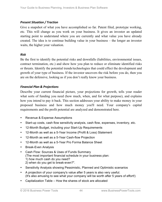#### *Present Situation / Traction*

Give a snapshot of what you have accomplished so far. Patent filed, prototype working, etc. This will change as you work on your business. It gives an investor an updated starting point to understand where you are currently and what value you have already created. The idea is to continue building value in your business – the longer an investor waits, the higher your valuation.

#### *Risk*

Be the first to identify the potential risks and downfalls (liabilities, environmental issues, contract termination, etc.) and show how you plan to reduce or eliminate identified risks or threats. Identify the potential trends/technologies that could effect the development and growth of your type of business. If the investor uncovers the risk before you do, then you are on the defensive, looking as if you don't really know your business.

#### *Financial Plan & Projections*

Describe your current financial picture, your projections for growth, tells your reader what sorts of funding you need (how much, when, and for what purpose), and explains how you intend to pay it back. This section addresses your ability to make money in your proposed business and how much money you'll need. Your company's capital requirements and the profit potential are analyzed and demonstrated here.

- Revenue & Expense Assumptions
- Start-up costs, cash flow sensitivity analysis, cash flow, expenses, inventory, etc.
- 12-Month Budget, including your Start-Up Requirements
- 12-Month as well as a 5-Year Income (Profit & Loss) Statement
- 12-Month as well as a 5-Year Cash-flow Projection
- 12-Month as well as a 5-Year Pro Forma Balance Sheet
- Break-Even Analysis
- Cash Flow: Sources & Uses of Funds Summary (The most important financial schedule in your business plan: 1) how much cash do you need? 2) when do you get to break-even?".
- Sensitivity Analysis showing Pessimistic, Planned and Optimistic scenarios
- A projection of your company's value after 5 years is also very useful. (It's also amusing to see what your company will be worth after 5 years of effort!)
- Capitalization Table How the shares of stock are allocated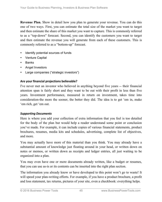**Revenue Plan.** Show in detail how you plan to generate your revenue. You can do this one of two ways. First, you can estimate the total size of the market you want to target and then estimate the share of this market you want to capture. This is commonly referred to as a "top-down" forecast. Second, you can identify the customers you want to target and then estimate the revenue you will generate from each of these customers. This is commonly referred to as a "bottom-up" forecast.

- Identify potential sources of funds
- Venture Capital
- Banks
- Angel Investors
- Large companies ("strategic investors")

#### Are your financial projections believable?

I've never met an investor who believed in anything beyond five years -- their financial attention span is fairly short and they want to be out with their profit in less than five years. Investment performance, measured in return on investment, takes time into consideration-the more the sooner, the better they did. The idea is to get 'em in, make 'em rich, get 'em out.

#### *Supporting Documents*

Here is where you add your collection of extra information that you feel is too detailed for the body of the plan but would help a reader understand some point or conclusion you've made. For example, it can include copies of various financial statements, product brochures, resumes, media kits and schedules, advertising, complete list of objectives, and more.

You may actually have more of this material than you think. You may already have a substantial amount of knowledge just floating around in your head, or written down on notes or memos, or written down as receipts and ledger entries, all just waiting to be organized into a plan.

You may even have one or more documents already written, like a budget or resumes, that you can use as-is or its contents can be inserted into the right plan section.

The information you already know or have developed to this point won't go to waste! It will speed your plan-writing efforts. For example, if you have a product brochure, a profit and loss statement, tax returns, pictures of your site, even a checkbook: everything helps.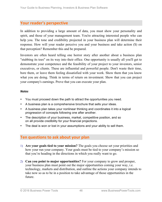## Your reader's perspective

In addition to providing a large amount of data, you must show your personality and spirit, and those of your management team. You're attracting interested people who can help you. The tone and credibility projected in your business plan will determine their response. How will your reader perceive you and your business and take action (\$) on that perception? Remember this and be prepared.

Investors are often heard telling one horror story after another about a business plan "stubbing its toes" on its way into their office. One opportunity is usually all you'll get to demonstrate your competence and the feasibility of your project to your investors, senior executives, or clients. These are influential and powerful people. Don't waste their time, bore them, or leave them feeling dissatisfied with your work. Show them that you know what you are doing. Think in terms of return on investment. Show that you can project your company's earnings. Prove that you can execute your plan.

#### *Notes*

- You must proceed down the path to attract the opportunities you need.
- A business plan is a comprehensive brochure that sells your ideas.
- A business plan takes your nonlinear thinking and coordinates it into a logical progression of concepts following one after another.
- The description of your business, market, competitive position, and so on all provide credibility for your financial projections.
- The deal is won or lost in your assumptions and your ability to sell them.

## Ten questions to ask about your plan

- 1) **Are your goals tied to your mission?** The goals you choose set your priorities and how your run your company. Your goals must be tied to your company's mission so that you're heading in the directions in which you really want to go.
- 2) **Can you point to major opportunities?** For your company to grow and prosper, your business plan must point out the major opportunities coming your way, i.e. technology, markets and distribution, and outline the actions your company intends to take now so as to be in a position to take advantage of those opportunities in the future.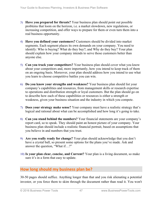- 3) **Have you prepared for threats?** Your business plan should point out possible problems that loom on the horizon, i.e. a market slowdown, new regulations, or increasing competition, and offer ways to prepare for them or even turn them into a real business opportunity.
- 4) **Have you defined your customers?** Customers should be divided into market segments. Each segment places its own demands on your company. You need to identify: Who is buying? What do they buy?; and Why do they buy? Your plan should explain how your company intends to serve those customers better than anyone else.
- 5) **Can you track your competitors?** Your business plan should cover what you know about your competitors and, more importantly, how you intend to keep track of them on an ongoing basis. Moreover, your plan should address how you intend to use what you learn to choose competitive battles you can win.
- 6) **Do you know your strengths and weakness?** Your business plan should list your company's capabilities and resources, from management skills or research expertise to operations and distribution strength or loyal customers. But the plan should go on to describe how each of these capabilities or resources is either a strength or weakness, given your business situation and the industry in which you compete.
- 7) **Does your strategy make sense?** Your company must have a realistic strategy that's logical and rational about what can be accomplished and how long it's going to take.
- 8) **Can you stand behind the numbers?** Your financial statements are your company's report card, so to speak. They should paint an honest picture of your company. Your business plan should include a realistic financial portrait, based on assumptions that you believe in and numbers that you trust.
- 9) **Are you really ready for change?** Your plan should acknowledge that you don't have a crystal ball, so present some options for the plans you've made. Ask and answer the question, "What if…?"
- 10) **Is your plan clear, concise, and Current?** Your plan is a living document, so make sure it's in a form that easy to update.

# How long should my business plan be?

30-50 pages should suffice. Anything longer than that and you risk alienating a potential investor, or you force them to skim through the document rather than read it. You won't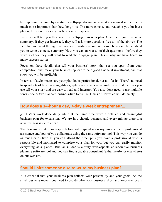be impressing anyone by creating a 200-page document – what's contained in the plan is much more important than how long it is. The more concise and readable you business plan is, the more focused your business will appear.

Investors will tell you they want just a 3-page business plan. Give them your executive summary. If they get interested, they will ask more questions (see all of the above). The fact that you went through the process of writing a comprehensive business plan enabled you to write a concise summary. Now you can answer all of their questions – before they write a check they will want to read the 50-page plan. This is why we have heard so many success stories.

Focus on those details that tell your business' story, that set you apart from your competition, that make your business appear to be a good financial investment, and that show you will be profitable.

In terms of style, make sure your plan looks professional, but not flashy. There's no need to spend lots of time creating glitzy graphics and charts – just make sure that the ones you use tell your story and are easy to read and interpret. You also don't need to use multiple fonts - one or two standard business-like fonts like Times or Helvetica will do nicely.

## **How does a 14-hour a day, 7-day a week entrepreneur…**

get his/her work done daily while at the same time write a detailed and meaningful business plan for expansion? We are in a chaotic business and every minute there is a new business issue to attend.

The two immediate paragraphs below will expand upon my answer. Seek professional assistance and both of you collaborate using the same software tool. This way you can do as much or as little as you can afford the time, plus you have a professional who is responsible and motivated to complete your plan for you, but you can easily monitor everything at a glance. BizPlanBuilder is a truly web-capable collaborative business planning software tool and you can find a capable consultant (either nearby or elsewhere) on our website.

#### **Should I hire someone else to write my business plan?**

It is essential that your business plan reflects your personality and your goals. As the small business owner, you need to decide what your business' short and long-term goals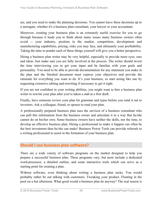are, and you need to make the planning decisions. You cannot leave these decisions up to a surrogate, whether it's a business plan consultant, your lawyer or your accountant.

Moreover, creating your business plan is an extremely useful exercise for you to go through because it leads you to think about many issues many business owners often avoid -- your industry, position in the market, competition, development and manufacturing capabilities, pricing, risks you may face, and ultimately your profitability. Taking the time to ponder each of these things yourself will give you a better perspective.

Hiring a business plan writer may be very helpful, especially to provide more eyes, ears and ideas. Just make sure you are fully involved in the process. The writer should invest the time interviewing you to get your input and be familiar with your goals and personality. You need to be able to provide documentation for any statement you make in the plan and the finished document must express your objectives and provide the rationale for everything you want to do. It's your business, so start acting like one by requesting extensive editing and rewriting if necessary to get it right.

If you are not confident in your writing abilities, you might want to hire a business plan writer to rewrite your plan after you've taken a stab at a first draft.

Finally, have someone review your plan for grammar and typos before you send it out to investors. Ask a colleague, friend, or spouse to read your plan.

A professionally prepared business plan uses the services of a business consultant who can pull this information from the business owner and articulate it in a way that he/she cannot do on his/her own. Some business owners have neither the skills, nor the time, to develop an effective business plan. Hiring a professional to make it happen can often be the best investment than he/she can make! Business Power Tools can provide referrals to a writing professional to assist in the formation of your business plan.

# **Should I use business plan software?**

There are a wide variety of software programs on the market designed to help you prepare a successful business plan. These programs vary, but most include a dedicated word-processor, a detailed outline, and some interactive tools which can serve as a starting point for creating a plan.

Without software, even thinking about writing a business plan sucks. You would probably rather be out talking with customers. Tweaking your product. Floating in the pool on a hot afternoon. What good would a business plan do anyway? The real reason is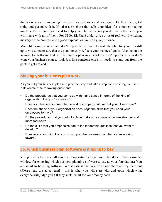that it saves you from having to explain yourself over and over again. Do this once, get it right, and get on with it. It's also a brochure that sells your ideas for a money-making machine to everyone you need to help you. The better job you do, the better deals you will make with all of them. For \$100, BizPlanBuilder gives a lot of real world wisdom, mastery of the process, and a good explanation you can give just once.

Much like using a consultant, don't expect the software to write the plan for you. It is still up to you to make sure that the plan honestly reflects your business' goals. Also, be on the lookout for software that will generate a plan in a "cookie cutter" approach. You don't want your business plan to look just like someone else's. It needs to stand out from the pack to get noticed.

## **Making your business plan work**

As you put your business plan into practice, stop and take a step back on a regular basis. Ask yourself the following questions:

- Do the procedures that you come up with make sense in terms of the kind of organization that you're creating?
- Does your leadership promote the sort of company culture that you'd like to see?
- Does the shape of your organization encourage the skills that you need your employees to have?
- Do the procedures that you put into place make your company culture stronger and more focused?
- Do the skills that you emphasize add to the leadership qualities that you want to develop?
- Does every last thing that you do support the business plan that you're working toward?

# **So, which business plan software is it going to be?**

You probably have a small window of opportunity to get your plan done. (Even a smaller window for choosing which business planning software to use as your foundation.) You are smart to be using software. Worst case is that you download them all, try them out (Please read the actual text! – this is what you will start with and upon which what everyone will judge you.) If they suck, email for your money back.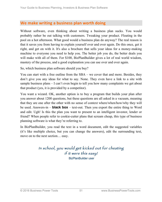## **We make writing a business plan worth doing**

Without software, even thinking about writing a business plan sucks. You would probably rather be out talking with customers. Tweaking your product. Floating in the pool on a hot afternoon. What good would a business plan do anyway? The real reason is that it saves you from having to explain yourself over and over again. Do this once, get it right, and get on with it. It's also a brochure that sells your ideas for a money-making machine to everyone you need to help you. The better job you do, the better deals you will make with all of them. For \$100, BizPlanBuilder gives a lot of real world wisdom, mastery of the process, and a good explanation you can use over and over again.

So, which business plan software should you buy?

You can start with a free outline from the SBA – we cover that and more. Besides, they don't give you any ideas for what to say. None. They even have a link to a site with sample business plans – I can't even begin to tell you how many complaints we get about that product (yes, it is provided by a competitor).

You want a wizard. OK, another option is to buy a program that builds your plan after you answer about 1200 questions, but these questions are all asked in a vacuum, meaning that they are one after the other with no sense of context where/when/how/why they will be used. Answers-in – **black box** – text-out. Then you export the entire thing to Word and edit. Ugh! Is this the plan you want to present to an intelligent investor, lender or friend? When people refer to cookie-cutter plans that scream cheap, this type of business planning software is what they're referring to.

In BizPlanBuilder, you read the text in a word document, edit the suggested variables (it's like multiple choice, but you can change the answers), edit the surrounding text, move on to the next section… easy.

# In school, you would get kicked out for cheating if it were this easy!

BizPlanBuilder user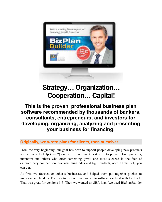

# **Strategy… Organization… Cooperation… Capital!**

# **This is the proven, professional business plan software recommended by thousands of bankers, consultants, entrepreneurs, and investors for developing, organizing, analyzing and presenting your business for financing.**

**Originally, we wrote plans for clients, then ourselves** 

From the very beginning, our goal has been to support people developing new products and services to help (save?) our world. We want best stuff to prevail! Entrepreneurs, inventors and others who offer something great, and must succeed in the face of extraordinary competition, overwhelming odds and tight budgets, need all the help you can get.

At first, we focused on other's businesses and helped them put together pitches to investors and lenders. The idea to turn our materials into software evolved with feedback. That was great for versions 1-5. Then we wanted an SBA loan (we used BizPlanBuilder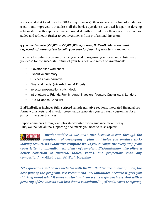and expanded it to address the SBA's requirements), then we wanted a line of credit (we used it and improved it to address all the bank's questions), we used it again to develop relationships with suppliers (we improved it further to address their concerns), and we added and refined it further to get investments from professional investors.

#### *If* you need to raise \$50,000 – \$50,000,000 right now, BizPlanBuilder is the most respected software system to build your case for financing with terms you want.

It covers the entire spectrum of what you need to organize your ideas and substantiate your case for the successful future of your business and return on investment:

- Elevator pitch worksheet
- Executive summary
- Business plan narrative
- Financial model (wizard-driven & Excel)
- Investor presentation / pitch deck
- Intro letters to Friends/Family, Angel Investors, Venture Capitalists & Lenders
- Due Diligence Checklist

BizPlanBuilder includes fully scripted sample narrative sections, integrated financial pro forma worksheets, and investor presentation templates you can easily customize for a perfect fit to your business.

Expert comments throughout, plus step-by-step video guidance make it easy. Plus, we include all the supporting documents you need to raise capital!

"BizPlanBuilder is our BEST BUY because it cuts through the complexity of developing a plan and helps you produce slick*looking results. Its exhaustive template walks you through the every step from cover letter to appendix, with plenty of samples... BizPlanBuilder also offers a* **better** collection of financial tables, ratios, and projections than any *competitor."* ~ Mike Hogan, *PC World* Magazine

*"The questions and advice included with BizPlanBuilder are, in our opinion, the best part of the program. We recommend BizPlanBuilder because it gets you thinking about what it takes to start and run a successful business. And with a price tag of \$97, it costs a lot less than a consultant.***"** ~ *Jeff Dodd, Smart Computing*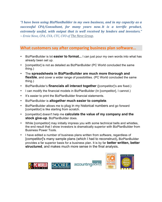*"I have been using BizPlanBuilder in my own business, and in my capacity as a*  successful CPA/Consultant, for many years now. It is a terrific product, extremely useful, with output that is well received by lenders and investors." *~ Ernie Neve, CPA, CVA, CTC, CVO of The Neve Group,*

#### **What customers say after comparing business plan software...**

- BizPlanBuilder is lot **easier to format...** I can just pour my own words into what has already been set up.
- [competitor] is not as detailed as BizPlanBuilder (PC World concluded the same thing.)
- The **spreadsheets in BizPlanBuilder are much more thorough and flexible**, and cover a wider range of possibilities. (PC World concluded the same thing.)
- BizPlanBuilder's **financials all interact together** ([competitor]'s are fixed.)
- I can modify the financial models in BizPlanBuilder (In [competitor], I cannot.)
- It's easier to print the BizPlanBuilder financial statements.
- BizPlanBuilder is **altogether much easier to complete**.
- BizPlanBuilder allows me to plug in my historical numbers and go forward [competitor] is like starting from scratch.
- [competitor] doesn't help me **calculate the value of my company and the stock give-up**. BizPlanBuilder does.
- While [competitor] may initially impress you with some technical bells and whistles, the end result that I show investors is dramatically superior with BizPlanBuilder from Business Power Tools.
- I have edited a number of business plans written from software, regardless of [competitor]'s many sample plans (which I had to reconstruct)**,** BizPlanBuilder provides a far superior basis for a business plan. It is by far **better written, better structured**, and makes much more sense in the final analysis**.**



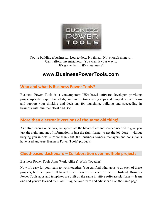

You're building a business… Lots to do… No time… Not enough money… Can't afford *any* mistakes… You want it your way… It's got to last… *We understand*!

# **www.BusinessPowerTools.com**

#### **Who and what is Business Power Tools?**

Business Power Tools is a contemporary USA-based software developer providing project-specific, expert knowledge in mindful time-saving apps and templates that inform and support your thinking and decisions for launching, building and succeeding in business with minimal effort and BS!

## **More than electronic versions of the same old thing!**

As entrepreneurs ourselves, we appreciate the blend of art and science needed to give you just the right amount of information in just the right format to get the job done—without burying you in details. More than 2,000,000 business owners, managers and consultants have used and trust Business Power Tools' products.

#### **Cloud-based dashboard – Collaboration over multiple projects**

Business Power Tools Apps Work Alike & Work Together!

Now it's easy for your team to work together. You can find other apps to do each of these projects, but then you'd all have to learn how to use each of them… Instead, Business Power Tools apps and templates are built on the same intuitive software platform — learn one and you've learned them all! Imagine your team and advisors all on the same page!